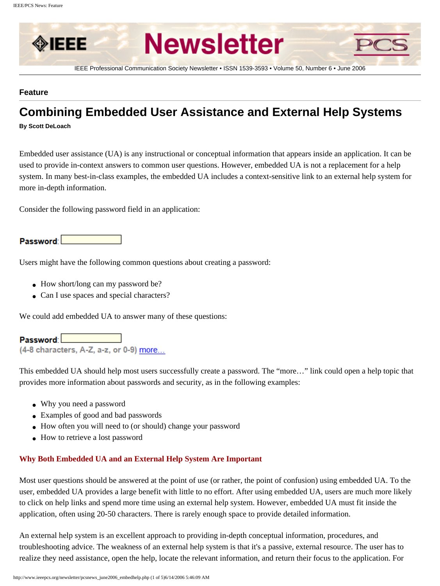

## **Feature**

# **Combining Embedded User Assistance and External Help Systems**

**By Scott DeLoach**

Embedded user assistance (UA) is any instructional or conceptual information that appears inside an application. It can be used to provide in-context answers to common user questions. However, embedded UA is not a replacement for a help system. In many best-in-class examples, the embedded UA includes a context-sensitive link to an external help system for more in-depth information.

Consider the following password field in an application:

## Password:

Users might have the following common questions about creating a password:

- How short/long can my password be?
- Can I use spaces and special characters?

We could add embedded UA to answer many of these questions:

## Password **Department**

(4-8 characters, A-Z, a-z, or 0-9) more...

This embedded UA should help most users successfully create a password. The "more…" link could open a help topic that provides more information about passwords and security, as in the following examples:

- Why you need a password
- Examples of good and bad passwords
- How often you will need to (or should) change your password
- How to retrieve a lost password

## **Why Both Embedded UA and an External Help System Are Important**

Most user questions should be answered at the point of use (or rather, the point of confusion) using embedded UA. To the user, embedded UA provides a large benefit with little to no effort. After using embedded UA, users are much more likely to click on help links and spend more time using an external help system. However, embedded UA must fit inside the application, often using 20-50 characters. There is rarely enough space to provide detailed information.

An external help system is an excellent approach to providing in-depth conceptual information, procedures, and troubleshooting advice. The weakness of an external help system is that it's a passive, external resource. The user has to realize they need assistance, open the help, locate the relevant information, and return their focus to the application. For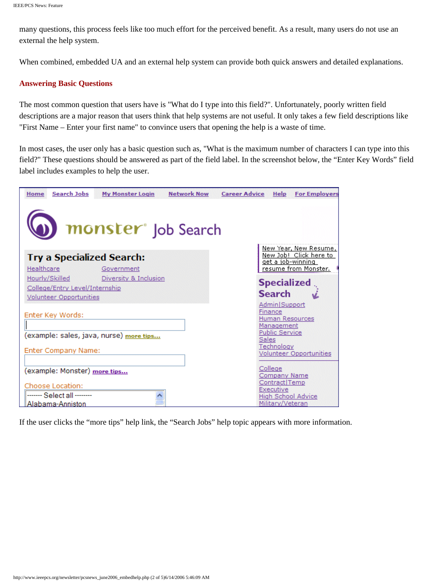many questions, this process feels like too much effort for the perceived benefit. As a result, many users do not use an external the help system.

When combined, embedded UA and an external help system can provide both quick answers and detailed explanations.

## **Answering Basic Questions**

The most common question that users have is "What do I type into this field?". Unfortunately, poorly written field descriptions are a major reason that users think that help systems are not useful. It only takes a few field descriptions like "First Name – Enter your first name" to convince users that opening the help is a waste of time.

In most cases, the user only has a basic question such as, "What is the maximum number of characters I can type into this field?" These questions should be answered as part of the field label. In the screenshot below, the "Enter Key Words" field label includes examples to help the user.

| monster <sup>®</sup> Job Search<br>New Year, New Resume,<br><u>New Job! Click here to </u><br><b>Try a Specialized Search:</b><br><u>get a job-winning </u><br>resume from Monster.<br>Healthcare<br>Government<br>Hourly/Skilled<br>Diversity & Inclusion<br><b>Specialized</b><br>College/Entry Level/Internship<br><b>Search</b><br><b>Volunteer Opportunities</b><br>Admin Support<br>Finance<br>Enter Key Words:<br><b>Human Resources</b><br>Management<br><b>Public Service</b><br>(example: sales, java, nurse) <u>more tips</u><br>Sales<br>Technology<br>Enter Company Name:<br><b>Volunteer Opportunities</b><br>College<br>(example: Monster) more tips<br>Company Name<br>Contract Temp<br>Choose Location:<br>Executive<br>------- Select all --------<br><b>High School Advice</b> | <b>Search Jobs</b><br>Home | <b>My Monster Login</b> | <b>Network Now</b> | <b>Career Advice Help</b> | <b>For Employers</b> |
|---------------------------------------------------------------------------------------------------------------------------------------------------------------------------------------------------------------------------------------------------------------------------------------------------------------------------------------------------------------------------------------------------------------------------------------------------------------------------------------------------------------------------------------------------------------------------------------------------------------------------------------------------------------------------------------------------------------------------------------------------------------------------------------------------|----------------------------|-------------------------|--------------------|---------------------------|----------------------|
|                                                                                                                                                                                                                                                                                                                                                                                                                                                                                                                                                                                                                                                                                                                                                                                                   |                            |                         |                    |                           |                      |
|                                                                                                                                                                                                                                                                                                                                                                                                                                                                                                                                                                                                                                                                                                                                                                                                   |                            |                         |                    |                           |                      |
|                                                                                                                                                                                                                                                                                                                                                                                                                                                                                                                                                                                                                                                                                                                                                                                                   |                            |                         |                    |                           |                      |
|                                                                                                                                                                                                                                                                                                                                                                                                                                                                                                                                                                                                                                                                                                                                                                                                   |                            |                         |                    |                           |                      |
|                                                                                                                                                                                                                                                                                                                                                                                                                                                                                                                                                                                                                                                                                                                                                                                                   |                            |                         |                    |                           |                      |
|                                                                                                                                                                                                                                                                                                                                                                                                                                                                                                                                                                                                                                                                                                                                                                                                   |                            |                         |                    |                           |                      |
| Military/Veteran<br><u> Alabama-Anniston</u>                                                                                                                                                                                                                                                                                                                                                                                                                                                                                                                                                                                                                                                                                                                                                      |                            |                         |                    |                           |                      |

If the user clicks the "more tips" help link, the "Search Jobs" help topic appears with more information.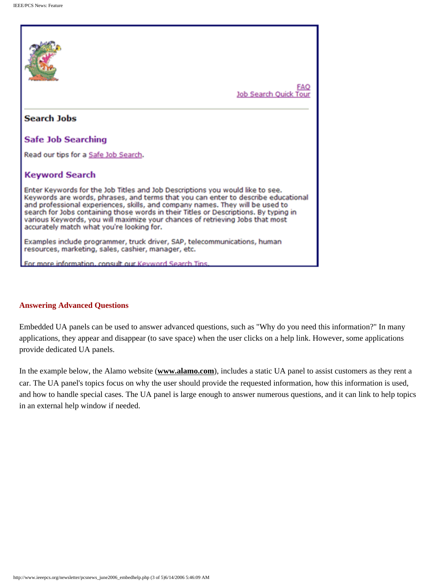

### **Answering Advanced Questions**

Embedded UA panels can be used to answer advanced questions, such as "Why do you need this information?" In many applications, they appear and disappear (to save space) when the user clicks on a help link. However, some applications provide dedicated UA panels.

In the example below, the Alamo website (**[www.alamo.com](http://www.alamo.com/)**), includes a static UA panel to assist customers as they rent a car. The UA panel's topics focus on why the user should provide the requested information, how this information is used, and how to handle special cases. The UA panel is large enough to answer numerous questions, and it can link to help topics in an external help window if needed.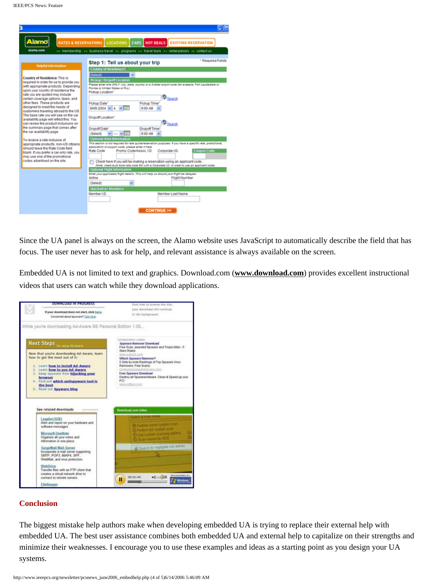|                                                                                                                                                                                                                                                                                                                                                                                                                                                                            | IΕ                                                                                                                                                                                                                                                                                                                                                                                                                                                                                                                                                              |
|----------------------------------------------------------------------------------------------------------------------------------------------------------------------------------------------------------------------------------------------------------------------------------------------------------------------------------------------------------------------------------------------------------------------------------------------------------------------------|-----------------------------------------------------------------------------------------------------------------------------------------------------------------------------------------------------------------------------------------------------------------------------------------------------------------------------------------------------------------------------------------------------------------------------------------------------------------------------------------------------------------------------------------------------------------|
| Alamo<br><b>RATES &amp; RESERVATIONS</b><br>alama.com                                                                                                                                                                                                                                                                                                                                                                                                                      | <b>LOCATIONS</b> CARS<br><b>HOT DEALS</b> EXISTING RESERVATION                                                                                                                                                                                                                                                                                                                                                                                                                                                                                                  |
| <b>Helpful Information</b>                                                                                                                                                                                                                                                                                                                                                                                                                                                 | >> membership >> business travel >> programs >> travel tools >> rentalipolicies >> contactius<br>* Required Fields<br>Step 1: Tell us about your trip                                                                                                                                                                                                                                                                                                                                                                                                           |
| Country of Residence: This is<br>required in order for us to provide you<br>with appropriate products. Depending<br>upon your country of residence the<br>rate you are quoted may include<br>certain coverage options, taxes, and<br>other fees. These products are<br>designed to meet the needs of<br>customers traveling abroad to the US.<br>The base rate you will see on the car<br>availability page will reflect this. You<br>can review the product inclusions on | Country of Residence?*<br>(Select)<br><b>Pickup / Dropoff Location</b><br>Please enter one ONLY: city, state, country or a 3-letter aimort code for example. Fort Laudentale or<br>Fiorida or United States or FLL)<br>Pickup Location*<br><b>D</b> Search<br>Pickup Date*<br>Pickup Time<br>MAR-2004 v<br>9:00 AM<br>Dropoff Location*<br><b>D</b> Search                                                                                                                                                                                                      |
| the summary page that comes after<br>the car availability page.<br>To receive a rate inclusive of<br>appropriate products, non-US citizens<br>should leave the Rate Code field<br>blank. If you prefer a car-only rate, you<br>may use one of the promotional<br>codes advertised on the site.                                                                                                                                                                             | Dropoff Time<br>Dropoff Date*<br>9:00 AM<br>(Select)<br>V<br><b>Optional Rate Information</b><br>This section is not required for rate quote/reservation purposes. If you have a specific rate, promotional,<br>association or coupon code, please enter it here.<br>Promo CodelAssoc.1D.<br><b>Coupon Code</b><br>Rate Code<br>Corporate I.D.<br>Check here if you will be making a reservation using an applicant code.<br>(Note: Users must book rate code EX with a Corporate LD: in order to use an applicant code).<br><b>Optional Flight Information</b> |
|                                                                                                                                                                                                                                                                                                                                                                                                                                                                            | Enter your applicable flight details. This will help us should your flight be delayed.<br>Aidioe<br>Flight Number<br>(Select)<br><b>Quicksilver Members</b><br>Member LD.<br>Member Last Name<br><b>CONTINUE &gt;&gt;</b>                                                                                                                                                                                                                                                                                                                                       |

Since the UA panel is always on the screen, the Alamo website uses JavaScript to automatically describe the field that has focus. The user never has to ask for help, and relevant assistance is always available on the screen.

Embedded UA is not limited to text and graphics. Download.com (**[www.download.com](http://www.download.com/)**) provides excellent instructional videos that users can watch while they download applications.

| DOWNLOAD IN PROGRESS                                                                                                                                                                                                                                                                                                 | Feel free to browse the site:<br>your developd will continue<br>in the background.                                                                                                                                                                                                                                                                                                                   |  |
|----------------------------------------------------------------------------------------------------------------------------------------------------------------------------------------------------------------------------------------------------------------------------------------------------------------------|------------------------------------------------------------------------------------------------------------------------------------------------------------------------------------------------------------------------------------------------------------------------------------------------------------------------------------------------------------------------------------------------------|--|
| If your download does not start, click here.<br>Concerned about apyware? Click here.                                                                                                                                                                                                                                 |                                                                                                                                                                                                                                                                                                                                                                                                      |  |
| While you're downloading Ad-Aware SE Personal Edition 1.06                                                                                                                                                                                                                                                           |                                                                                                                                                                                                                                                                                                                                                                                                      |  |
| Next Steps (pricing Adverse)<br>Now that you're downloading Ad-Aware, learn<br>how to get the most out of it:<br>1. Learn how to install Ad-Aware<br>2. Learn how to use Ad-Aware<br>3. Keep spyware from hilacking your<br>browser<br>4. Find out which antispyware tool is<br>the best<br>5. Read our Spyware blog | <b>UNITE GENERALISTS</b><br><b>Spyware Remover Download</b><br>Free Scan, awarded Spyware and Trojan killer - 5<br>Stars Rated<br>www.pdoola.com<br><b>Vilhich Spyware Remover?</b><br>5 Side-bu-side Rankings of Top Spyware Virus<br>Removers. Free Scans.<br>comparespressoremovers com-<br>Free Spyware Download<br>Destroy all Spyware/Adware. Clean & Speed up your<br>PCI.<br>www.xidbian.com |  |
| See related downloads resumence                                                                                                                                                                                                                                                                                      | <b>Download.com video</b>                                                                                                                                                                                                                                                                                                                                                                            |  |
| Legalot (SOE)                                                                                                                                                                                                                                                                                                        | <b>CONTRACT BUILDING</b>                                                                                                                                                                                                                                                                                                                                                                             |  |
| Alert and report on your hardware and<br>software messages.<br><b>Microsoft OneNote</b><br>Organize all your notes and<br>information in one place.                                                                                                                                                                  | 20 Padges small availant state<br>C Parkers full availant scan<br>O Use cuttom starring astern<br>C Scan wages by ADS                                                                                                                                                                                                                                                                                |  |
| <b>SurgeMail Mail Server</b><br>Incorporate a mail server supporting<br>SMTP, POP3, MAP4, SPF.<br>WebMail, and virus protection.                                                                                                                                                                                     | 89 Search for negligible risk entries                                                                                                                                                                                                                                                                                                                                                                |  |
| WebDrive<br>Transfer files with an FTP client that<br>creates a virtual network drive to<br>connect to remote servers.                                                                                                                                                                                               | <b><i>SPONSORED BY</i></b><br>$\leftarrow$<br>00:01:45                                                                                                                                                                                                                                                                                                                                               |  |
|                                                                                                                                                                                                                                                                                                                      | п                                                                                                                                                                                                                                                                                                                                                                                                    |  |

#### **Conclusion**

The biggest mistake help authors make when developing embedded UA is trying to replace their external help with embedded UA. The best user assistance combines both embedded UA and external help to capitalize on their strengths and minimize their weaknesses. I encourage you to use these examples and ideas as a starting point as you design your UA systems.